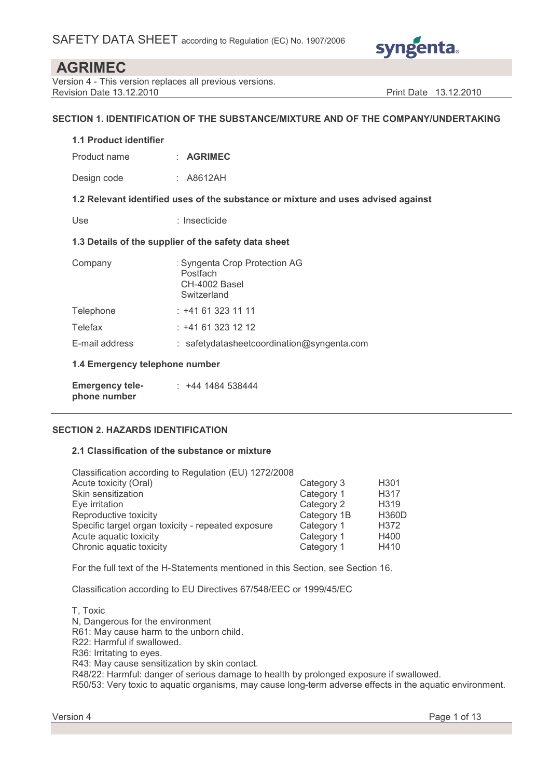

Version 4 - This version replaces all previous versions. Revision Date 13.12.2010 **Print Date 13.12.2010** 

## SECTION 1. IDENTIFICATION OF THE SUBSTANCE/MIXTURE AND OF THE COMPANY/UNDERTAKING

#### 1.1 Product identifier

Product name : AGRIMEC

Design code : A8612AH

#### 1.2 Relevant identified uses of the substance or mixture and uses advised against

Use : Insecticide

#### 1.3 Details of the supplier of the safety data sheet

| Company                        | : Syngenta Crop Protection AG<br>Postfach<br>CH-4002 Basel<br>Switzerland |
|--------------------------------|---------------------------------------------------------------------------|
| Telephone                      | : +41 61 323 11 11                                                        |
| Telefax                        | $: +41613231212$                                                          |
| E-mail address                 | $:$ safetydatasheet coordination @ syngenta.com                           |
| 1.4 Emergency telephone number |                                                                           |
| <b>Emergency tele-</b>         | : +44 1484 538444                                                         |

### SECTION 2. HAZARDS IDENTIFICATION

phone number

#### 2.1 Classification of the substance or mixture

| Classification according to Regulation (EU) 1272/2008 |             |                  |
|-------------------------------------------------------|-------------|------------------|
| Acute toxicity (Oral)                                 | Category 3  | H <sub>301</sub> |
| Skin sensitization                                    | Category 1  | H <sub>317</sub> |
| Eye irritation                                        | Category 2  | H <sub>319</sub> |
| Reproductive toxicity                                 | Category 1B | <b>H360D</b>     |
| Specific target organ toxicity - repeated exposure    | Category 1  | H372             |
| Acute aquatic toxicity                                | Category 1  | H400             |
| Chronic aquatic toxicity                              | Category 1  | H410             |

For the full text of the H-Statements mentioned in this Section, see Section 16.

Classification according to EU Directives 67/548/EEC or 1999/45/EC

T, Toxic N, Dangerous for the environment R61: May cause harm to the unborn child. R22: Harmful if swallowed. R36: Irritating to eyes. R43: May cause sensitization by skin contact. R48/22: Harmful: danger of serious damage to health by prolonged exposure if swallowed. R50/53: Very toxic to aquatic organisms, may cause long-term adverse effects in the aquatic environment.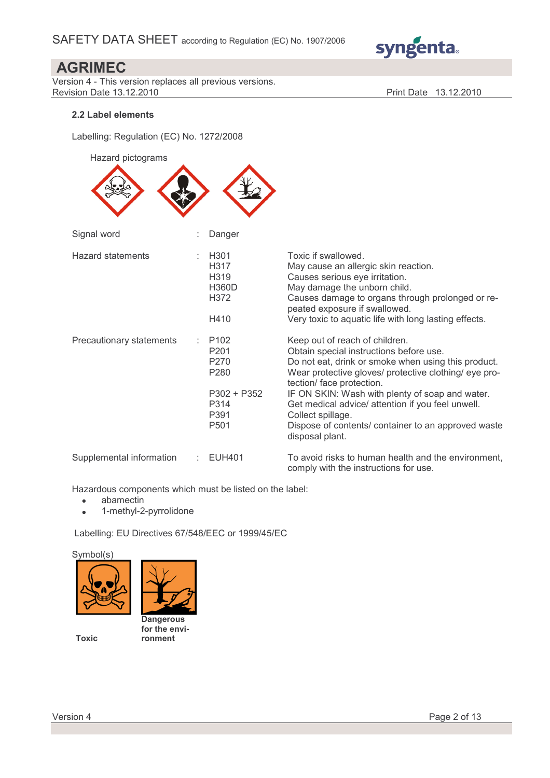

comply with the instructions for use.

## AGRIMEC

Version 4 - This version replaces all previous versions. Revision Date 13.12.2010 **Print Date 13.12.2010** Print Date 13.12.2010

## 2.2 Label elements

Labelling: Regulation (EC) No. 1272/2008



Hazardous components which must be listed on the label:

- abamectin
- 1-methyl-2-pyrrolidone

Labelling: EU Directives 67/548/EEC or 1999/45/EC

Symbol(s)





Toxic

for the environment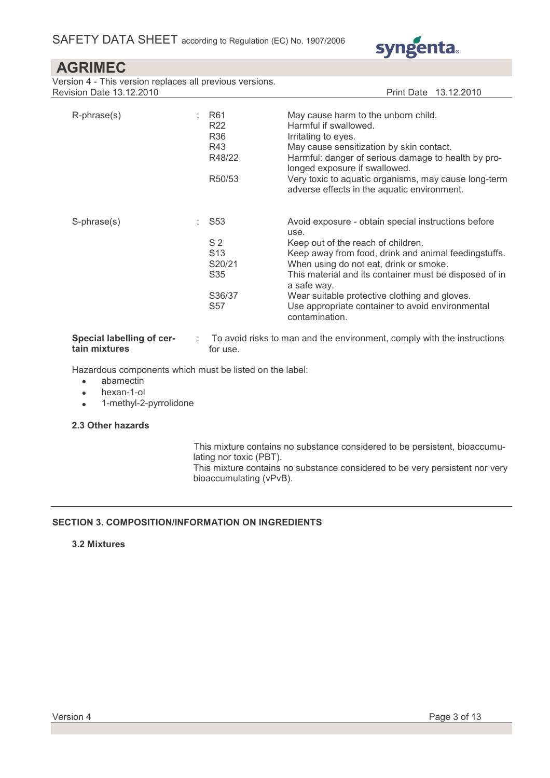

Version 4 - This version replaces all previous versions. Revision Date 13.12.2010 **Print Date 13.12.2010** 

| R-phrase(s)                                | R <sub>61</sub><br>R22<br>R36<br>R43<br>R48/22<br>R50/53                         | May cause harm to the unborn child.<br>Harmful if swallowed.<br>Irritating to eyes.<br>May cause sensitization by skin contact.<br>Harmful: danger of serious damage to health by pro-<br>longed exposure if swallowed.<br>Very toxic to aquatic organisms, may cause long-term<br>adverse effects in the aquatic environment. |
|--------------------------------------------|----------------------------------------------------------------------------------|--------------------------------------------------------------------------------------------------------------------------------------------------------------------------------------------------------------------------------------------------------------------------------------------------------------------------------|
| S-phrase(s)                                | $\therefore$ S53<br>S <sub>2</sub><br>S <sub>13</sub><br>S20/21<br>S35<br>S36/37 | Avoid exposure - obtain special instructions before<br>use.<br>Keep out of the reach of children.<br>Keep away from food, drink and animal feedingstuffs.<br>When using do not eat, drink or smoke.<br>This material and its container must be disposed of in<br>a safe way.<br>Wear suitable protective clothing and gloves.  |
|                                            | S <sub>57</sub>                                                                  | Use appropriate container to avoid environmental<br>contamination.                                                                                                                                                                                                                                                             |
| Special labelling of cer-<br>tain mixtures | for use.                                                                         | To avoid risks to man and the environment, comply with the instructions                                                                                                                                                                                                                                                        |

Hazardous components which must be listed on the label:

- abamectin
- hexan-1-ol
- 1-methyl-2-pyrrolidone

## 2.3 Other hazards

This mixture contains no substance considered to be persistent, bioaccumulating nor toxic (PBT).

This mixture contains no substance considered to be very persistent nor very bioaccumulating (vPvB).

## SECTION 3. COMPOSITION/INFORMATION ON INGREDIENTS

## 3.2 Mixtures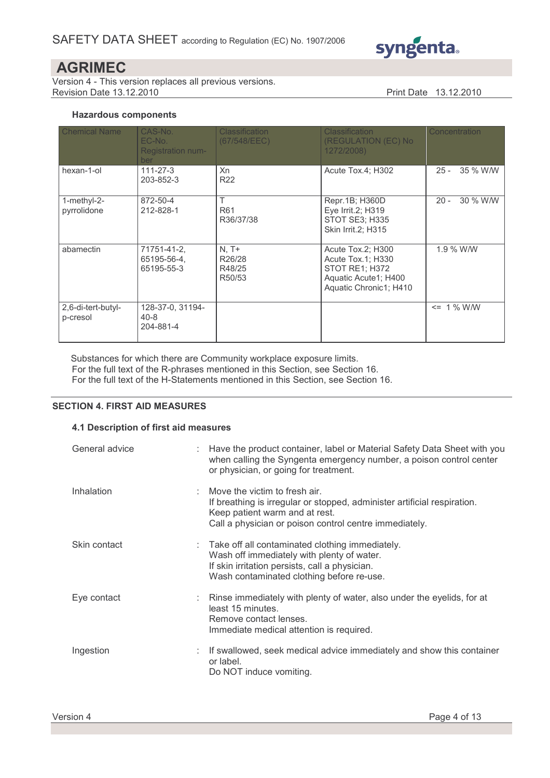

Version 4 - This version replaces all previous versions. Revision Date 13.12.2010 **Print Date 13.12.2010** 

## Hazardous components

| <b>Chemical Name</b>           | CAS-No.<br>EC-No.<br><b>Registration num-</b><br>ber | <b>Classification</b><br>(67/548/EEC) | <b>Classification</b><br>(REGULATION (EC) No<br>1272/2008)                                                 | Concentration      |
|--------------------------------|------------------------------------------------------|---------------------------------------|------------------------------------------------------------------------------------------------------------|--------------------|
| hexan-1-ol                     | $111 - 27 - 3$<br>203-852-3                          | Xn<br>R <sub>22</sub>                 | Acute Tox.4; H302                                                                                          | $25 -$<br>35 % W/W |
| 1-methyl-2-<br>pyrrolidone     | 872-50-4<br>212-828-1                                | Τ<br>R61<br>R36/37/38                 | Repr.1B; H360D<br>Eye Irrit.2; H319<br><b>STOT SE3; H335</b><br><b>Skin Irrit.2; H315</b>                  | 30 % W/W<br>$20 -$ |
| abamectin                      | 71751-41-2.<br>65195-56-4,<br>65195-55-3             | $N, T+$<br>R26/28<br>R48/25<br>R50/53 | Acute Tox.2; H300<br>Acute Tox.1; H330<br>STOT RE1; H372<br>Aquatic Acute1; H400<br>Aquatic Chronic1; H410 | 1.9 % W/W          |
| 2,6-di-tert-butyl-<br>p-cresol | 128-37-0, 31194-<br>$40 - 8$<br>204-881-4            |                                       |                                                                                                            | $= 1 \%$ W/W       |

Substances for which there are Community workplace exposure limits. For the full text of the R-phrases mentioned in this Section, see Section 16. For the full text of the H-Statements mentioned in this Section, see Section 16.

## SECTION 4. FIRST AID MEASURES

#### 4.1 Description of first aid measures

| General advice | : Have the product container, label or Material Safety Data Sheet with you<br>when calling the Syngenta emergency number, a poison control center<br>or physician, or going for treatment.                         |
|----------------|--------------------------------------------------------------------------------------------------------------------------------------------------------------------------------------------------------------------|
| Inhalation     | $\therefore$ Move the victim to fresh air.<br>If breathing is irregular or stopped, administer artificial respiration.<br>Keep patient warm and at rest.<br>Call a physician or poison control centre immediately. |
| Skin contact   | : Take off all contaminated clothing immediately.<br>Wash off immediately with plenty of water.<br>If skin irritation persists, call a physician.<br>Wash contaminated clothing before re-use.                     |
| Eye contact    | : Rinse immediately with plenty of water, also under the eyelids, for at<br>least 15 minutes.<br>Remove contact lenses.<br>Immediate medical attention is required.                                                |
| Ingestion      | : If swallowed, seek medical advice immediately and show this container<br>or label.<br>Do NOT induce vomiting.                                                                                                    |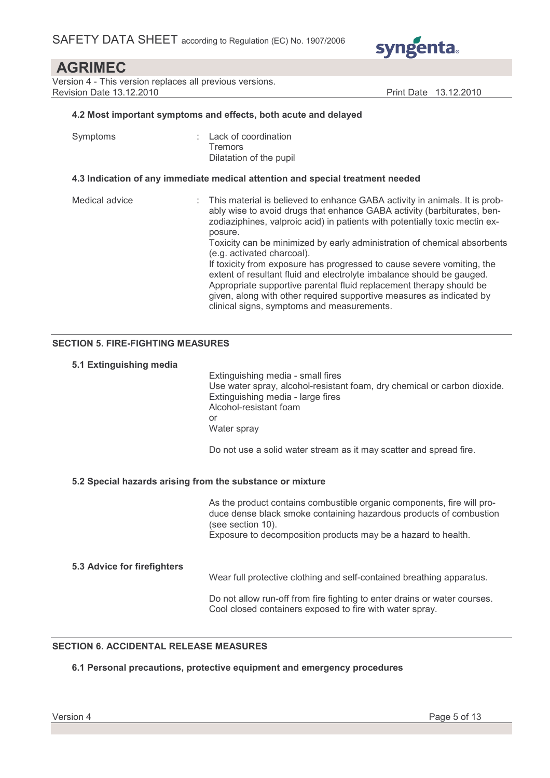

Version 4 - This version replaces all previous versions. Revision Date 13.12.2010 **Print Date 13.12.2010** Print Date 13.12.2010

#### 4.2 Most important symptoms and effects, both acute and delayed

| Symptoms       | Lack of coordination<br>Tremors<br>Dilatation of the pupil                                                                                                                                                                                                                                                                                                                                                                                                                                                                                                                                                                                                                                                  |
|----------------|-------------------------------------------------------------------------------------------------------------------------------------------------------------------------------------------------------------------------------------------------------------------------------------------------------------------------------------------------------------------------------------------------------------------------------------------------------------------------------------------------------------------------------------------------------------------------------------------------------------------------------------------------------------------------------------------------------------|
|                | 4.3 Indication of any immediate medical attention and special treatment needed                                                                                                                                                                                                                                                                                                                                                                                                                                                                                                                                                                                                                              |
| Medical advice | : This material is believed to enhance GABA activity in animals. It is prob-<br>ably wise to avoid drugs that enhance GABA activity (barbiturates, ben-<br>zodiaziphines, valproic acid) in patients with potentially toxic mectin ex-<br>posure.<br>Toxicity can be minimized by early administration of chemical absorbents<br>(e.g. activated charcoal).<br>If toxicity from exposure has progressed to cause severe vomiting, the<br>extent of resultant fluid and electrolyte imbalance should be gauged.<br>Appropriate supportive parental fluid replacement therapy should be<br>given, along with other required supportive measures as indicated by<br>clinical signs, symptoms and measurements. |

### SECTION 5. FIRE-FIGHTING MEASURES

#### 5.1 Extinguishing media

 Extinguishing media - small fires Use water spray, alcohol-resistant foam, dry chemical or carbon dioxide. Extinguishing media - large fires Alcohol-resistant foam or Water spray

Do not use a solid water stream as it may scatter and spread fire.

#### 5.2 Special hazards arising from the substance or mixture

 As the product contains combustible organic components, fire will produce dense black smoke containing hazardous products of combustion (see section 10). Exposure to decomposition products may be a hazard to health.

#### 5.3 Advice for firefighters

Wear full protective clothing and self-contained breathing apparatus.

 Do not allow run-off from fire fighting to enter drains or water courses. Cool closed containers exposed to fire with water spray.

### SECTION 6. ACCIDENTAL RELEASE MEASURES

#### 6.1 Personal precautions, protective equipment and emergency procedures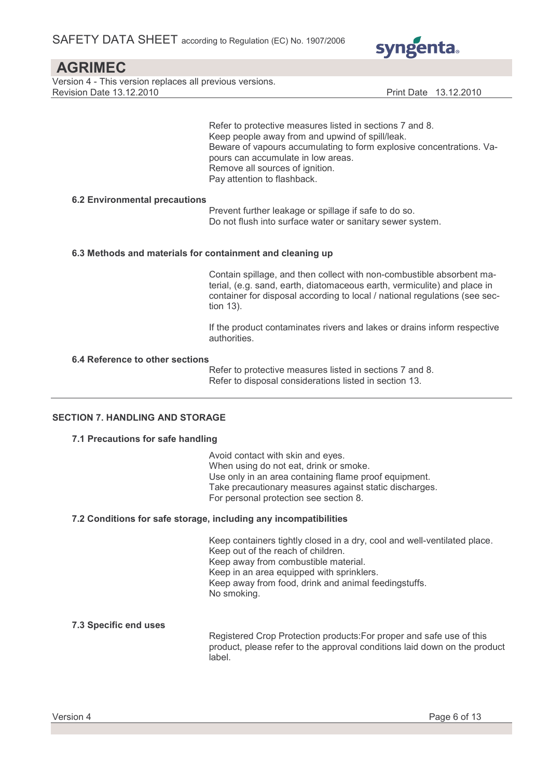

Version 4 - This version replaces all previous versions. Revision Date 13.12.2010 **Print Date 13.12.2010** Print Date 13.12.2010

 Refer to protective measures listed in sections 7 and 8. Keep people away from and upwind of spill/leak. Beware of vapours accumulating to form explosive concentrations. Vapours can accumulate in low areas. Remove all sources of ignition. Pay attention to flashback.

### 6.2 Environmental precautions

 Prevent further leakage or spillage if safe to do so. Do not flush into surface water or sanitary sewer system.

### 6.3 Methods and materials for containment and cleaning up

 Contain spillage, and then collect with non-combustible absorbent material, (e.g. sand, earth, diatomaceous earth, vermiculite) and place in container for disposal according to local / national regulations (see section 13).

 If the product contaminates rivers and lakes or drains inform respective authorities.

## 6.4 Reference to other sections

 Refer to protective measures listed in sections 7 and 8. Refer to disposal considerations listed in section 13.

## SECTION 7. HANDLING AND STORAGE

#### 7.1 Precautions for safe handling

 Avoid contact with skin and eyes. When using do not eat, drink or smoke. Use only in an area containing flame proof equipment. Take precautionary measures against static discharges. For personal protection see section 8.

### 7.2 Conditions for safe storage, including any incompatibilities

 Keep containers tightly closed in a dry, cool and well-ventilated place. Keep out of the reach of children. Keep away from combustible material. Keep in an area equipped with sprinklers. Keep away from food, drink and animal feedingstuffs. No smoking.

#### 7.3 Specific end uses

 Registered Crop Protection products:For proper and safe use of this product, please refer to the approval conditions laid down on the product label.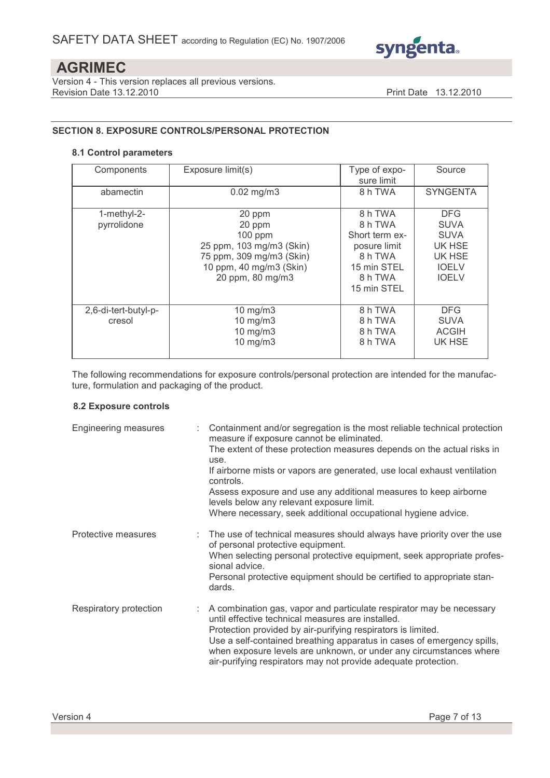

Version 4 - This version replaces all previous versions. Revision Date 13.12.2010 **Print Date 13.12.2010** 

## SECTION 8. EXPOSURE CONTROLS/PERSONAL PROTECTION

#### 8.1 Control parameters

| Components                     | Exposure limit(s)                                                                                                                    | Type of expo-<br>sure limit                                                                              | Source                                                                                       |
|--------------------------------|--------------------------------------------------------------------------------------------------------------------------------------|----------------------------------------------------------------------------------------------------------|----------------------------------------------------------------------------------------------|
| abamectin                      | $0.02$ mg/m $3$                                                                                                                      | 8 h TWA                                                                                                  | <b>SYNGENTA</b>                                                                              |
| 1-methyl-2-<br>pyrrolidone     | 20 ppm<br>20 ppm<br>$100$ ppm<br>25 ppm, 103 mg/m3 (Skin)<br>75 ppm, 309 mg/m3 (Skin)<br>10 ppm, 40 mg/m3 (Skin)<br>20 ppm, 80 mg/m3 | 8 h TWA<br>8 h TWA<br>Short term ex-<br>posure limit<br>8 h TWA<br>15 min STEL<br>8 h TWA<br>15 min STEL | <b>DFG</b><br><b>SUVA</b><br><b>SUVA</b><br>UK HSE<br>UK HSE<br><b>IOELV</b><br><b>IOELV</b> |
| 2,6-di-tert-butyl-p-<br>cresol | 10 mg/m3<br>$10$ mg/m $3$<br>10 mg/m3<br>10 mg/m3                                                                                    | 8 h TWA<br>8 h TWA<br>8 h TWA<br>8 h TWA                                                                 | <b>DFG</b><br><b>SUVA</b><br><b>ACGIH</b><br>UK HSE                                          |

The following recommendations for exposure controls/personal protection are intended for the manufacture, formulation and packaging of the product.

### 8.2 Exposure controls

| Engineering measures   | : Containment and/or segregation is the most reliable technical protection<br>measure if exposure cannot be eliminated.<br>The extent of these protection measures depends on the actual risks in<br>use.<br>If airborne mists or vapors are generated, use local exhaust ventilation<br>controls.<br>Assess exposure and use any additional measures to keep airborne<br>levels below any relevant exposure limit.<br>Where necessary, seek additional occupational hygiene advice. |
|------------------------|--------------------------------------------------------------------------------------------------------------------------------------------------------------------------------------------------------------------------------------------------------------------------------------------------------------------------------------------------------------------------------------------------------------------------------------------------------------------------------------|
| Protective measures    | : The use of technical measures should always have priority over the use<br>of personal protective equipment.<br>When selecting personal protective equipment, seek appropriate profes-<br>sional advice.<br>Personal protective equipment should be certified to appropriate stan-<br>dards.                                                                                                                                                                                        |
| Respiratory protection | A combination gas, vapor and particulate respirator may be necessary<br>until effective technical measures are installed.<br>Protection provided by air-purifying respirators is limited.<br>Use a self-contained breathing apparatus in cases of emergency spills,<br>when exposure levels are unknown, or under any circumstances where<br>air-purifying respirators may not provide adequate protection.                                                                          |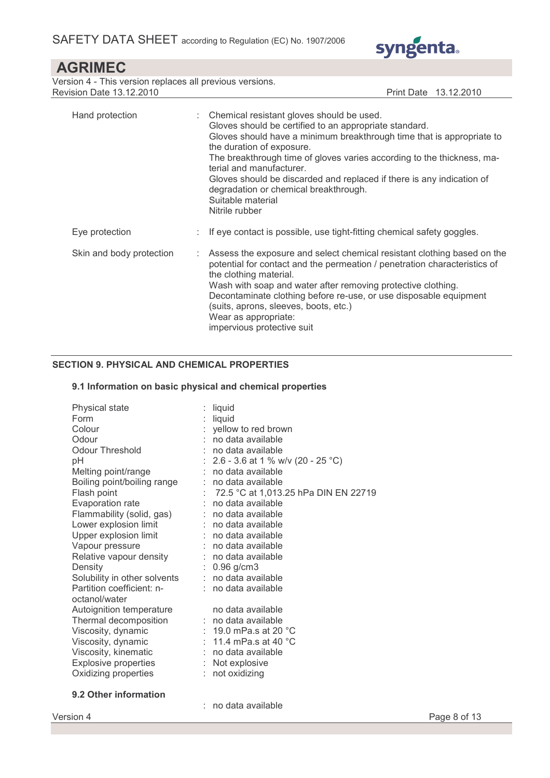

| <b>AGRIMEC</b>                                           |                       |
|----------------------------------------------------------|-----------------------|
| Version 4 - This version replaces all previous versions. |                       |
| Revision Date 13.12.2010                                 | Print Date 13.12.2010 |

| Hand protection          | Chemical resistant gloves should be used.<br>Gloves should be certified to an appropriate standard.<br>Gloves should have a minimum breakthrough time that is appropriate to<br>the duration of exposure.<br>The breakthrough time of gloves varies according to the thickness, ma-<br>terial and manufacturer.<br>Gloves should be discarded and replaced if there is any indication of<br>degradation or chemical breakthrough.<br>Suitable material<br>Nitrile rubber |
|--------------------------|--------------------------------------------------------------------------------------------------------------------------------------------------------------------------------------------------------------------------------------------------------------------------------------------------------------------------------------------------------------------------------------------------------------------------------------------------------------------------|
| Eye protection           | If eye contact is possible, use tight-fitting chemical safety goggles.                                                                                                                                                                                                                                                                                                                                                                                                   |
| Skin and body protection | Assess the exposure and select chemical resistant clothing based on the<br>potential for contact and the permeation / penetration characteristics of<br>the clothing material.<br>Wash with soap and water after removing protective clothing.<br>Decontaminate clothing before re-use, or use disposable equipment<br>(suits, aprons, sleeves, boots, etc.)<br>Wear as appropriate:<br>impervious protective suit                                                       |

## SECTION 9. PHYSICAL AND CHEMICAL PROPERTIES

## 9.1 Information on basic physical and chemical properties

| Partition coefficient: n-<br>no data available<br>octanol/water<br>Autoignition temperature<br>no data available<br>Thermal decomposition<br>: no data available<br>Viscosity, dynamic<br>: 19.0 mPa.s at 20 $^{\circ}$ C<br>: 11.4 mPa.s at 40 $^{\circ}$ C<br>Viscosity, dynamic<br>Viscosity, kinematic<br>$:$ no data available<br><b>Explosive properties</b><br>Not explosive<br>÷.<br>Oxidizing properties<br>not oxidizing<br>t. | Physical state<br>Form<br>Colour<br>Odour<br>Odour Threshold<br>рH<br>Melting point/range<br>Boiling point/boiling range<br>Flash point<br>Evaporation rate<br>Flammability (solid, gas)<br>Lower explosion limit<br>Upper explosion limit<br>Vapour pressure<br>Relative vapour density<br>Density<br>Solubility in other solvents |  | liquid<br>liquid<br>yellow to red brown<br>no data available<br>$:$ no data available<br>: 2.6 - 3.6 at 1 % w/v (20 - 25 °C)<br>: no data available<br>: no data available<br>: 72.5 °C at 1,013.25 hPa DIN EN 22719<br>: no data available<br>: no data available<br>: no data available<br>no data available<br>$:$ no data available<br>: no data available<br>$: 0.96$ g/cm3<br>: no data available |
|------------------------------------------------------------------------------------------------------------------------------------------------------------------------------------------------------------------------------------------------------------------------------------------------------------------------------------------------------------------------------------------------------------------------------------------|-------------------------------------------------------------------------------------------------------------------------------------------------------------------------------------------------------------------------------------------------------------------------------------------------------------------------------------|--|---------------------------------------------------------------------------------------------------------------------------------------------------------------------------------------------------------------------------------------------------------------------------------------------------------------------------------------------------------------------------------------------------------|
|------------------------------------------------------------------------------------------------------------------------------------------------------------------------------------------------------------------------------------------------------------------------------------------------------------------------------------------------------------------------------------------------------------------------------------------|-------------------------------------------------------------------------------------------------------------------------------------------------------------------------------------------------------------------------------------------------------------------------------------------------------------------------------------|--|---------------------------------------------------------------------------------------------------------------------------------------------------------------------------------------------------------------------------------------------------------------------------------------------------------------------------------------------------------------------------------------------------------|

## 9.2 Other information

: no data available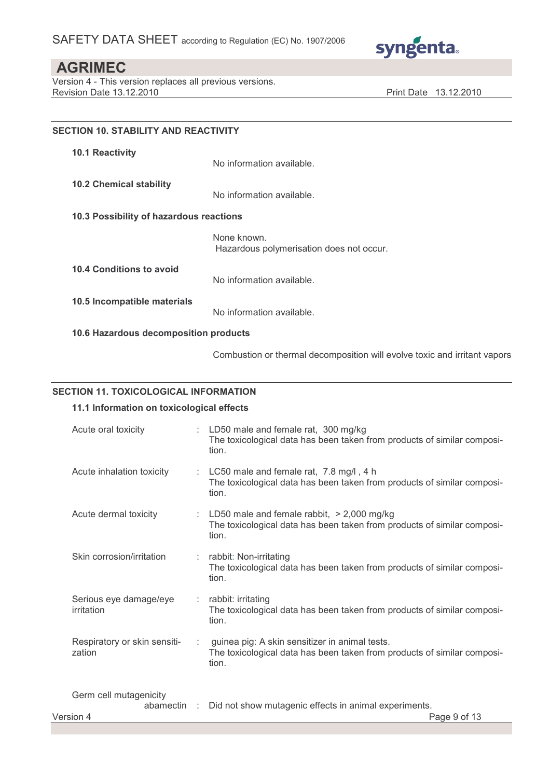

Version 4 - This version replaces all previous versions. Revision Date 13.12.2010 **Print Date 13.12.2010** 

| <b>SECTION 10. STABILITY AND REACTIVITY</b> |                                                                           |  |
|---------------------------------------------|---------------------------------------------------------------------------|--|
| <b>10.1 Reactivity</b>                      | No information available.                                                 |  |
| <b>10.2 Chemical stability</b>              | No information available.                                                 |  |
| 10.3 Possibility of hazardous reactions     |                                                                           |  |
|                                             | None known.<br>Hazardous polymerisation does not occur.                   |  |
| <b>10.4 Conditions to avoid</b>             | No information available.                                                 |  |
| 10.5 Incompatible materials                 | No information available.                                                 |  |
| 10.6 Hazardous decomposition products       |                                                                           |  |
|                                             | Combustion or thermal decomposition will evolve toxic and irritant vapors |  |

## SECTION 11. TOXICOLOGICAL INFORMATION

## 11.1 Information on toxicological effects

| Acute oral toxicity                         |    | : LD50 male and female rat, 300 mg/kg<br>The toxicological data has been taken from products of similar composi-<br>tion.          |
|---------------------------------------------|----|------------------------------------------------------------------------------------------------------------------------------------|
| Acute inhalation toxicity                   | ÷  | LC50 male and female rat, 7.8 mg/l, 4 h<br>The toxicological data has been taken from products of similar composi-<br>tion.        |
| Acute dermal toxicity                       | ÷. | LD50 male and female rabbit, $>$ 2,000 mg/kg<br>The toxicological data has been taken from products of similar composi-<br>tion.   |
| Skin corrosion/irritation                   |    | : rabbit: Non-irritating<br>The toxicological data has been taken from products of similar composi-<br>tion.                       |
| Serious eye damage/eye<br><i>irritation</i> | ÷  | rabbit: irritating<br>The toxicological data has been taken from products of similar composi-<br>tion.                             |
| Respiratory or skin sensiti-<br>zation      |    | guinea pig: A skin sensitizer in animal tests.<br>The toxicological data has been taken from products of similar composi-<br>tion. |
| Germ cell mutagenicity<br>Version 4         |    | abamectin : Did not show mutagenic effects in animal experiments.<br>Page 9 of 13                                                  |
|                                             |    |                                                                                                                                    |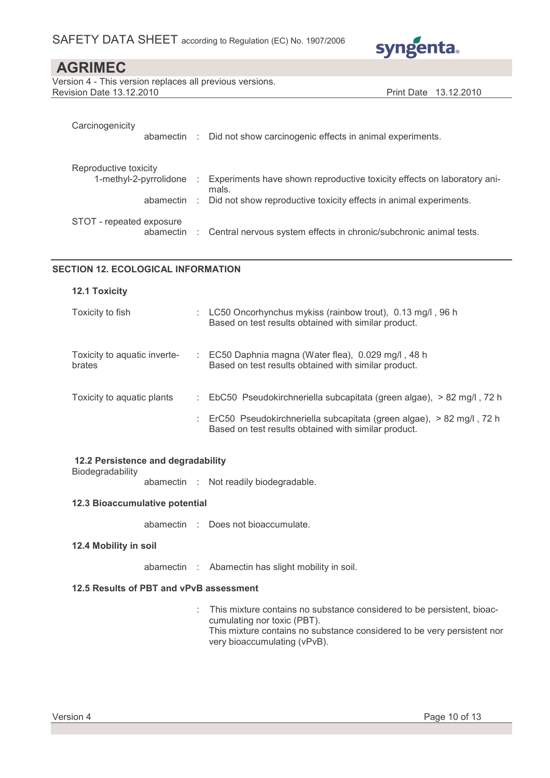

Version 4 - This version replaces all previous versions. Revision Date 13.12.2010 **Print Date 13.12.2010** 

| Carcinogenicity          | abamectin              |   | : Did not show carcinogenic effects in animal experiments.                       |
|--------------------------|------------------------|---|----------------------------------------------------------------------------------|
| Reproductive toxicity    | 1-methyl-2-pyrrolidone | ÷ | Experiments have shown reproductive toxicity effects on laboratory ani-<br>mals. |
|                          | abamectin              |   | : Did not show reproductive toxicity effects in animal experiments.              |
| STOT - repeated exposure | abamectin              | ÷ | Central nervous system effects in chronic/subchronic animal tests.               |

## SECTION 12. ECOLOGICAL INFORMATION

| <b>12.1 Toxicity</b>                   |   |                                                                                                                              |
|----------------------------------------|---|------------------------------------------------------------------------------------------------------------------------------|
| Toxicity to fish                       |   | LC50 Oncorhynchus mykiss (rainbow trout), 0.13 mg/l, 96 h<br>Based on test results obtained with similar product.            |
| Toxicity to aquatic inverte-<br>brates | ÷ | EC50 Daphnia magna (Water flea), 0.029 mg/l, 48 h<br>Based on test results obtained with similar product.                    |
| Toxicity to aquatic plants             |   | EbC50 Pseudokirchneriella subcapitata (green algae), > 82 mg/l, 72 h                                                         |
|                                        |   | ErC50 Pseudokirchneriella subcapitata (green algae), > 82 mg/l, 72 h<br>Based on test results obtained with similar product. |

## 12.2 Persistence and degradability

**Biodegradability** 

abamectin : Not readily biodegradable.

## 12.3 Bioaccumulative potential

abamectin : Does not bioaccumulate.

#### 12.4 Mobility in soil

abamectin : Abamectin has slight mobility in soil.

#### 12.5 Results of PBT and vPvB assessment

: This mixture contains no substance considered to be persistent, bioaccumulating nor toxic (PBT). This mixture contains no substance considered to be very persistent nor very bioaccumulating (vPvB).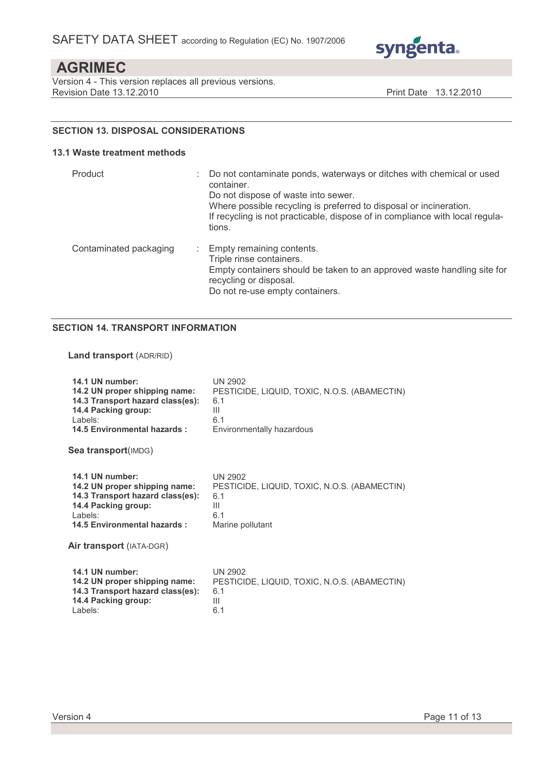

Version 4 - This version replaces all previous versions. Revision Date 13.12.2010 **Print Date 13.12.2010** 

## SECTION 13. DISPOSAL CONSIDERATIONS

### 13.1 Waste treatment methods

| Product                | Do not contaminate ponds, waterways or ditches with chemical or used<br>container.<br>Do not dispose of waste into sewer.<br>Where possible recycling is preferred to disposal or incineration.<br>If recycling is not practicable, dispose of in compliance with local regula-<br>tions. |
|------------------------|-------------------------------------------------------------------------------------------------------------------------------------------------------------------------------------------------------------------------------------------------------------------------------------------|
| Contaminated packaging | Empty remaining contents.<br>Triple rinse containers.<br>Empty containers should be taken to an approved waste handling site for<br>recycling or disposal.<br>Do not re-use empty containers.                                                                                             |

## SECTION 14. TRANSPORT INFORMATION

#### Land transport (ADR/RID)

| 14.1 UN number:                  | <b>UN 2902</b>                               |
|----------------------------------|----------------------------------------------|
| 14.2 UN proper shipping name:    | PESTICIDE, LIQUID, TOXIC, N.O.S. (ABAMECTIN) |
| 14.3 Transport hazard class(es): | 6.1                                          |
| 14.4 Packing group:              | Ш                                            |
| Labels:                          | 6.1                                          |
| 14.5 Environmental hazards:      | Environmentally hazardous                    |
| Sea transport(IMDG)              |                                              |
| 14.1 UN number:                  | <b>UN 2902</b>                               |
| 14.2 UN proper shipping name:    | PESTICIDE, LIQUID, TOXIC, N.O.S. (ABAMECTIN) |
| 14.3 Transport hazard class(es): | 6.1                                          |
| 14.4 Packing group:              | Ш                                            |
| Labels:                          | 6.1                                          |
| 14.5 Environmental hazards:      | Marine pollutant                             |
| Air transport (IATA-DGR)         |                                              |
| 14.1 UN number:                  | <b>UN 2902</b>                               |
| 14.2 UN proper shipping name:    | PESTICIDE, LIQUID, TOXIC, N.O.S. (ABAMECTIN) |
| 14.3 Transport hazard class(es): | 6.1                                          |
| 14.4 Packing group:              | Ш                                            |
| Labels:                          | 6.1                                          |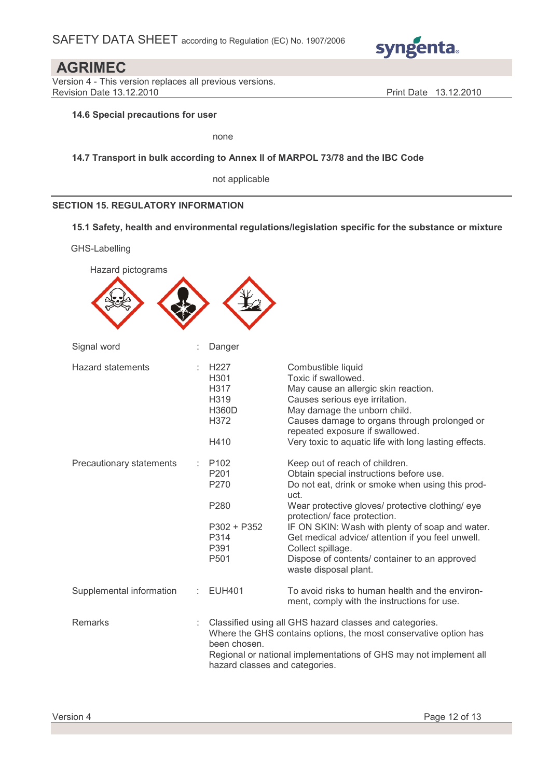

Version 4 - This version replaces all previous versions. Revision Date 13.12.2010 **Print Date 13.12.2010** 

## 14.6 Special precautions for user

none

## 14.7 Transport in bulk according to Annex II of MARPOL 73/78 and the IBC Code

not applicable

## SECTION 15. REGULATORY INFORMATION

## 15.1 Safety, health and environmental regulations/legislation specific for the substance or mixture

GHS-Labelling

| Hazard pictograms        |  |                                                      |                                                                                                                                                                                                                                                                                         |
|--------------------------|--|------------------------------------------------------|-----------------------------------------------------------------------------------------------------------------------------------------------------------------------------------------------------------------------------------------------------------------------------------------|
|                          |  |                                                      |                                                                                                                                                                                                                                                                                         |
| Signal word              |  | Danger                                               |                                                                                                                                                                                                                                                                                         |
| <b>Hazard statements</b> |  | H227<br>H301<br>H317<br>H319<br><b>H360D</b><br>H372 | Combustible liquid<br>Toxic if swallowed.<br>May cause an allergic skin reaction.<br>Causes serious eye irritation.<br>May damage the unborn child.<br>Causes damage to organs through prolonged or<br>repeated exposure if swallowed.                                                  |
|                          |  | H410                                                 | Very toxic to aquatic life with long lasting effects.                                                                                                                                                                                                                                   |
| Precautionary statements |  | P <sub>102</sub><br>P201<br>P270                     | Keep out of reach of children.<br>Obtain special instructions before use.<br>Do not eat, drink or smoke when using this prod-<br>uct.                                                                                                                                                   |
|                          |  | P280<br>$P302 + P352$<br>P314<br>P391<br>P501        | Wear protective gloves/ protective clothing/ eye<br>protection/ face protection.<br>IF ON SKIN: Wash with plenty of soap and water.<br>Get medical advice/ attention if you feel unwell.<br>Collect spillage.<br>Dispose of contents/ container to an approved<br>waste disposal plant. |
| Supplemental information |  | <b>EUH401</b>                                        | To avoid risks to human health and the environ-<br>ment, comply with the instructions for use.                                                                                                                                                                                          |
| <b>Remarks</b>           |  | been chosen.<br>hazard classes and categories.       | Classified using all GHS hazard classes and categories.<br>Where the GHS contains options, the most conservative option has<br>Regional or national implementations of GHS may not implement all                                                                                        |